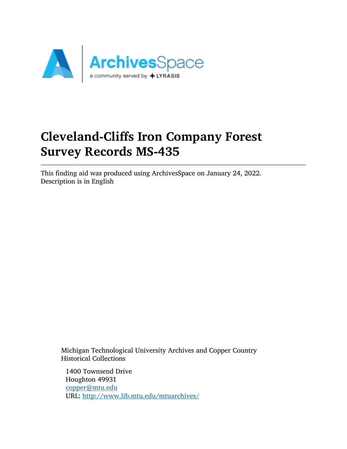

# Cleveland-Cliffs Iron Company Forest Survey Records MS-435

This finding aid was produced using ArchivesSpace on January 24, 2022. Description is in English

Michigan Technological University Archives and Copper Country Historical Collections

1400 Townsend Drive Houghton 49931 [copper@mtu.edu](mailto:copper@mtu.edu) URL: <http://www.lib.mtu.edu/mtuarchives/>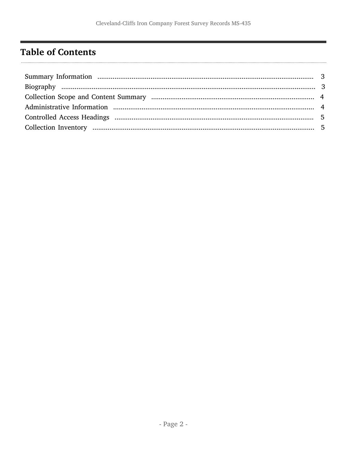## <span id="page-1-0"></span>**Table of Contents**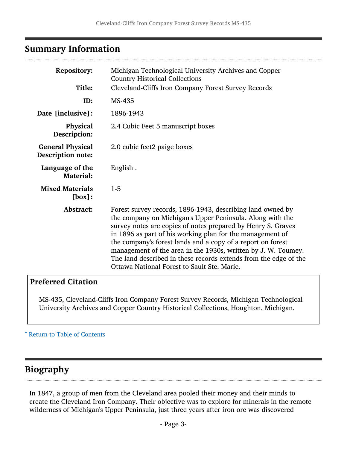#### <span id="page-2-0"></span>Summary Information

| <b>Repository:</b><br>Title:                        | Michigan Technological University Archives and Copper<br><b>Country Historical Collections</b><br>Cleveland-Cliffs Iron Company Forest Survey Records                                                                                                                                                                                                                                                                                                                                                   |
|-----------------------------------------------------|---------------------------------------------------------------------------------------------------------------------------------------------------------------------------------------------------------------------------------------------------------------------------------------------------------------------------------------------------------------------------------------------------------------------------------------------------------------------------------------------------------|
| ID:                                                 | MS-435                                                                                                                                                                                                                                                                                                                                                                                                                                                                                                  |
| Date [inclusive]:                                   | 1896-1943                                                                                                                                                                                                                                                                                                                                                                                                                                                                                               |
| Physical<br>Description:                            | 2.4 Cubic Feet 5 manuscript boxes                                                                                                                                                                                                                                                                                                                                                                                                                                                                       |
| <b>General Physical</b><br><b>Description note:</b> | 2.0 cubic feet2 paige boxes                                                                                                                                                                                                                                                                                                                                                                                                                                                                             |
| Language of the<br><b>Material:</b>                 | English.                                                                                                                                                                                                                                                                                                                                                                                                                                                                                                |
| <b>Mixed Materials</b><br>[box]:                    | $1 - 5$                                                                                                                                                                                                                                                                                                                                                                                                                                                                                                 |
| Abstract:                                           | Forest survey records, 1896-1943, describing land owned by<br>the company on Michigan's Upper Peninsula. Along with the<br>survey notes are copies of notes prepared by Henry S. Graves<br>in 1896 as part of his working plan for the management of<br>the company's forest lands and a copy of a report on forest<br>management of the area in the 1930s, written by J. W. Toumey.<br>The land described in these records extends from the edge of the<br>Ottawa National Forest to Sault Ste. Marie. |

#### Preferred Citation

MS-435, Cleveland-Cliffs Iron Company Forest Survey Records, Michigan Technological University Archives and Copper Country Historical Collections, Houghton, Michigan.

^ [Return to Table of Contents](#page-1-0)

#### <span id="page-2-1"></span>Biography

In 1847, a group of men from the Cleveland area pooled their money and their minds to create the Cleveland Iron Company. Their objective was to explore for minerals in the remote wilderness of Michigan's Upper Peninsula, just three years after iron ore was discovered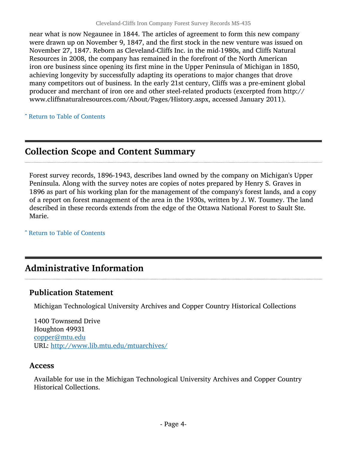near what is now Negaunee in 1844. The articles of agreement to form this new company were drawn up on November 9, 1847, and the first stock in the new venture was issued on November 27, 1847. Reborn as Cleveland-Cliffs Inc. in the mid-1980s, and Cliffs Natural Resources in 2008, the company has remained in the forefront of the North American iron ore business since opening its first mine in the Upper Peninsula of Michigan in 1850, achieving longevity by successfully adapting its operations to major changes that drove many competitors out of business. In the early 21st century, Cliffs was a pre-eminent global producer and merchant of iron ore and other steel-related products (excerpted from http:// www.cliffsnaturalresources.com/About/Pages/History.aspx, accessed January 2011).

^ [Return to Table of Contents](#page-1-0)

## <span id="page-3-0"></span>Collection Scope and Content Summary

Forest survey records, 1896-1943, describes land owned by the company on Michigan's Upper Peninsula. Along with the survey notes are copies of notes prepared by Henry S. Graves in 1896 as part of his working plan for the management of the company's forest lands, and a copy of a report on forest management of the area in the 1930s, written by J. W. Toumey. The land described in these records extends from the edge of the Ottawa National Forest to Sault Ste. Marie.

^ [Return to Table of Contents](#page-1-0)

## <span id="page-3-1"></span>Administrative Information

#### Publication Statement

Michigan Technological University Archives and Copper Country Historical Collections

1400 Townsend Drive Houghton 49931 [copper@mtu.edu](mailto:copper@mtu.edu) URL: <http://www.lib.mtu.edu/mtuarchives/>

#### **Access**

Available for use in the Michigan Technological University Archives and Copper Country Historical Collections.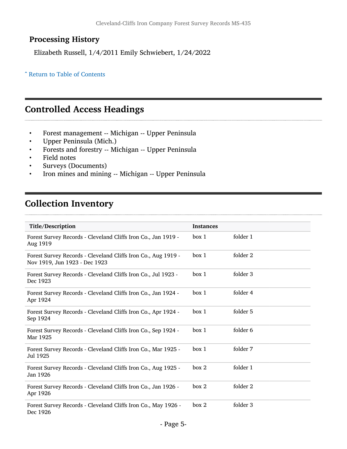### Processing History

Elizabeth Russell, 1/4/2011 Emily Schwiebert, 1/24/2022

#### ^ [Return to Table of Contents](#page-1-0)

#### <span id="page-4-0"></span>Controlled Access Headings

- Forest management -- Michigan -- Upper Peninsula<br>• Upper Peninsula (Mich.)
- Upper Peninsula (Mich.)
- Forests and forestry -- Michigan -- Upper Peninsula
- Field notes
- Surveys (Documents)
- Iron mines and mining -- Michigan -- Upper Peninsula

### <span id="page-4-1"></span>Collection Inventory

| Title/Description                                                                              | <b>Instances</b> |          |
|------------------------------------------------------------------------------------------------|------------------|----------|
| Forest Survey Records - Cleveland Cliffs Iron Co., Jan 1919 -<br>Aug 1919                      | box 1            | folder 1 |
| Forest Survey Records - Cleveland Cliffs Iron Co., Aug 1919 -<br>Nov 1919, Jun 1923 - Dec 1923 | box 1            | folder 2 |
| Forest Survey Records - Cleveland Cliffs Iron Co., Jul 1923 -<br>Dec 1923                      | box 1            | folder 3 |
| Forest Survey Records - Cleveland Cliffs Iron Co., Jan 1924 -<br>Apr 1924                      | box 1            | folder 4 |
| Forest Survey Records - Cleveland Cliffs Iron Co., Apr 1924 -<br>Sep 1924                      | box 1            | folder 5 |
| Forest Survey Records - Cleveland Cliffs Iron Co., Sep 1924 -<br>Mar 1925                      | box 1            | folder 6 |
| Forest Survey Records - Cleveland Cliffs Iron Co., Mar 1925 -<br>Jul 1925                      | box 1            | folder 7 |
| Forest Survey Records - Cleveland Cliffs Iron Co., Aug 1925 -<br>Jan 1926                      | box 2            | folder 1 |
| Forest Survey Records - Cleveland Cliffs Iron Co., Jan 1926 -<br>Apr 1926                      | box 2            | folder 2 |
| Forest Survey Records - Cleveland Cliffs Iron Co., May 1926 -<br>Dec 1926                      | box 2            | folder 3 |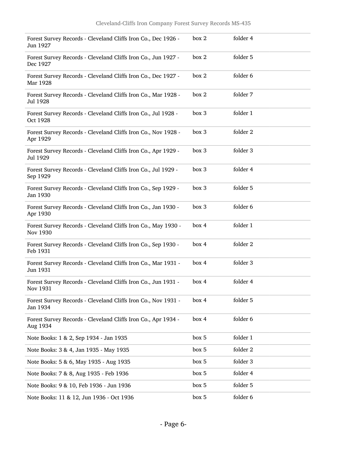| Forest Survey Records - Cleveland Cliffs Iron Co., Dec 1926 -<br>Jun 1927 | box 2 | folder 4 |
|---------------------------------------------------------------------------|-------|----------|
| Forest Survey Records - Cleveland Cliffs Iron Co., Jun 1927 -<br>Dec 1927 | box 2 | folder 5 |
| Forest Survey Records - Cleveland Cliffs Iron Co., Dec 1927 -<br>Mar 1928 | box 2 | folder 6 |
| Forest Survey Records - Cleveland Cliffs Iron Co., Mar 1928 -<br>Jul 1928 | box 2 | folder 7 |
| Forest Survey Records - Cleveland Cliffs Iron Co., Jul 1928 -<br>Oct 1928 | box 3 | folder 1 |
| Forest Survey Records - Cleveland Cliffs Iron Co., Nov 1928 -<br>Apr 1929 | box 3 | folder 2 |
| Forest Survey Records - Cleveland Cliffs Iron Co., Apr 1929 -<br>Jul 1929 | box 3 | folder 3 |
| Forest Survey Records - Cleveland Cliffs Iron Co., Jul 1929 -<br>Sep 1929 | box 3 | folder 4 |
| Forest Survey Records - Cleveland Cliffs Iron Co., Sep 1929 -<br>Jan 1930 | box 3 | folder 5 |
| Forest Survey Records - Cleveland Cliffs Iron Co., Jan 1930 -<br>Apr 1930 | box 3 | folder 6 |
| Forest Survey Records - Cleveland Cliffs Iron Co., May 1930 -<br>Nov 1930 | box 4 | folder 1 |
| Forest Survey Records - Cleveland Cliffs Iron Co., Sep 1930 -<br>Feb 1931 | box 4 | folder 2 |
| Forest Survey Records - Cleveland Cliffs Iron Co., Mar 1931 -<br>Jun 1931 | box 4 | folder 3 |
| Forest Survey Records - Cleveland Cliffs Iron Co., Jun 1931 -<br>Nov 1931 | box 4 | folder 4 |
| Forest Survey Records - Cleveland Cliffs Iron Co., Nov 1931 -<br>Jan 1934 | box 4 | folder 5 |
| Forest Survey Records - Cleveland Cliffs Iron Co., Apr 1934 -<br>Aug 1934 | box 4 | folder 6 |
| Note Books: 1 & 2, Sep 1934 - Jan 1935                                    | box 5 | folder 1 |
| Note Books: 3 & 4, Jan 1935 - May 1935                                    | box 5 | folder 2 |
| Note Books: 5 & 6, May 1935 - Aug 1935                                    | box 5 | folder 3 |
| Note Books: 7 & 8, Aug 1935 - Feb 1936                                    | box 5 | folder 4 |
| Note Books: 9 & 10, Feb 1936 - Jun 1936                                   | box 5 | folder 5 |
| Note Books: 11 & 12, Jun 1936 - Oct 1936                                  | box 5 | folder 6 |